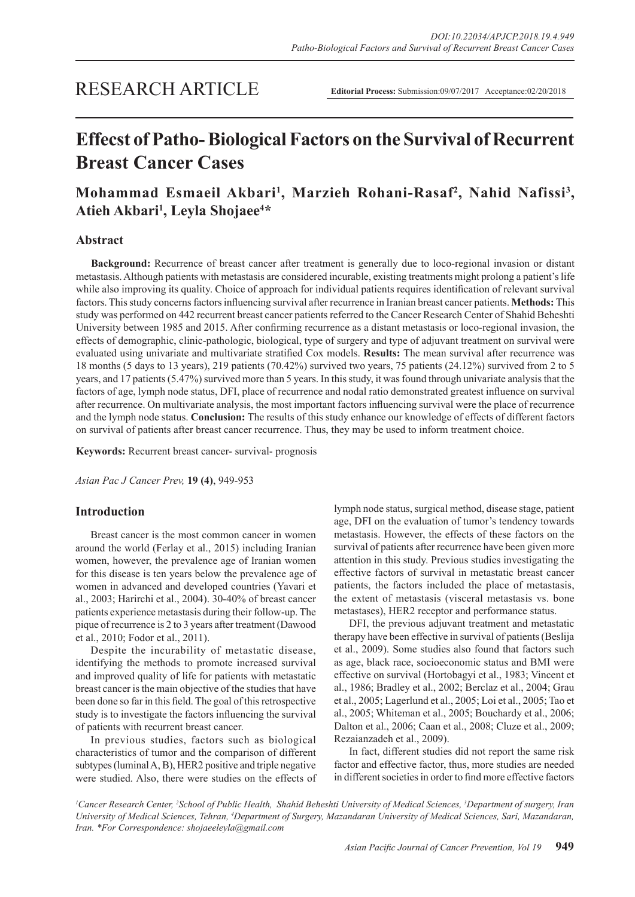# RESEARCH ARTICLE

**Editorial Process:** Submission:09/07/2017 Acceptance:02/20/2018

# **Effecst of Patho- Biological Factors on the Survival of Recurrent Breast Cancer Cases**

# Mohammad Esmaeil Akbari<sup>1</sup>, Marzieh Rohani-Rasaf<sup>2</sup>, Nahid Nafissi<sup>3</sup>, **Atieh Akbari1 , Leyla Shojaee4 \***

# **Abstract**

**Background:** Recurrence of breast cancer after treatment is generally due to loco-regional invasion or distant metastasis. Although patients with metastasis are considered incurable, existing treatments might prolong a patient's life while also improving its quality. Choice of approach for individual patients requires identification of relevant survival factors. This study concerns factors influencing survival after recurrence in Iranian breast cancer patients. **Methods:** This study was performed on 442 recurrent breast cancer patients referred to the Cancer Research Center of Shahid Beheshti University between 1985 and 2015. After confirming recurrence as a distant metastasis or loco-regional invasion, the effects of demographic, clinic-pathologic, biological, type of surgery and type of adjuvant treatment on survival were evaluated using univariate and multivariate stratified Cox models. **Results:** The mean survival after recurrence was 18 months (5 days to 13 years), 219 patients (70.42%) survived two years, 75 patients (24.12%) survived from 2 to 5 years, and 17 patients (5.47%) survived more than 5 years. In this study, it was found through univariate analysis that the factors of age, lymph node status, DFI, place of recurrence and nodal ratio demonstrated greatest influence on survival after recurrence. On multivariate analysis, the most important factors influencing survival were the place of recurrence and the lymph node status. **Conclusion:** The results of this study enhance our knowledge of effects of different factors on survival of patients after breast cancer recurrence. Thus, they may be used to inform treatment choice.

**Keywords:** Recurrent breast cancer- survival- prognosis

*Asian Pac J Cancer Prev,* **19 (4)**, 949-953

# **Introduction**

Breast cancer is the most common cancer in women around the world (Ferlay et al., 2015) including Iranian women, however, the prevalence age of Iranian women for this disease is ten years below the prevalence age of women in advanced and developed countries (Yavari et al., 2003; Harirchi et al., 2004). 30-40% of breast cancer patients experience metastasis during their follow-up. The pique of recurrence is 2 to 3 years after treatment (Dawood et al., 2010; Fodor et al., 2011).

Despite the incurability of metastatic disease, identifying the methods to promote increased survival and improved quality of life for patients with metastatic breast cancer is the main objective of the studies that have been done so far in this field. The goal of this retrospective study is to investigate the factors influencing the survival of patients with recurrent breast cancer.

In previous studies, factors such as biological characteristics of tumor and the comparison of different subtypes (luminal A, B), HER2 positive and triple negative were studied. Also, there were studies on the effects of lymph node status, surgical method, disease stage, patient age, DFI on the evaluation of tumor's tendency towards metastasis. However, the effects of these factors on the survival of patients after recurrence have been given more attention in this study. Previous studies investigating the effective factors of survival in metastatic breast cancer patients, the factors included the place of metastasis, the extent of metastasis (visceral metastasis vs. bone metastases), HER2 receptor and performance status.

DFI, the previous adjuvant treatment and metastatic therapy have been effective in survival of patients (Beslija et al., 2009). Some studies also found that factors such as age, black race, socioeconomic status and BMI were effective on survival (Hortobagyi et al., 1983; Vincent et al., 1986; Bradley et al., 2002; Berclaz et al., 2004; Grau et al., 2005; Lagerlund et al., 2005; Loi et al., 2005; Tao et al., 2005; Whiteman et al., 2005; Bouchardy et al., 2006; Dalton et al., 2006; Caan et al., 2008; Cluze et al., 2009; Rezaianzadeh et al., 2009).

In fact, different studies did not report the same risk factor and effective factor, thus, more studies are needed in different societies in order to find more effective factors

*1 Cancer Research Center, 2 School of Public Health, Shahid Beheshti University of Medical Sciences, 3 Department of surgery, Iran*  University of Medical Sciences, Tehran, <sup>4</sup>Department of Surgery, Mazandaran University of Medical Sciences, Sari, Mazandaran, *Iran. \*For Correspondence: shojaeeleyla@gmail.com*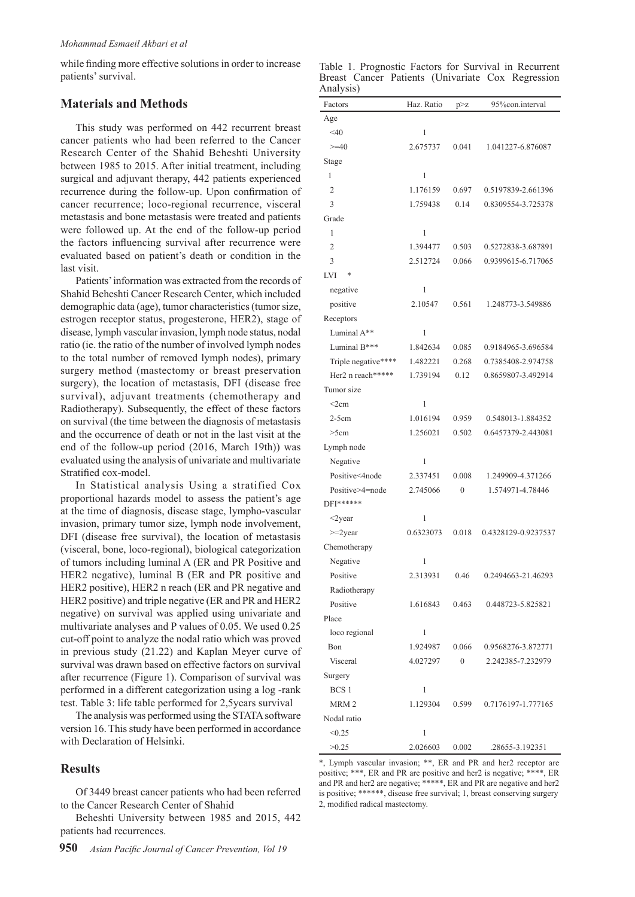while finding more effective solutions in order to increase patients' survival.

### **Materials and Methods**

This study was performed on 442 recurrent breast cancer patients who had been referred to the Cancer Research Center of the Shahid Beheshti University between 1985 to 2015. After initial treatment, including surgical and adjuvant therapy, 442 patients experienced recurrence during the follow-up. Upon confirmation of cancer recurrence; loco-regional recurrence, visceral metastasis and bone metastasis were treated and patients were followed up. At the end of the follow-up period the factors influencing survival after recurrence were evaluated based on patient's death or condition in the last visit.

Patients' information was extracted from the records of Shahid Beheshti Cancer Research Center, which included demographic data (age), tumor characteristics (tumor size, estrogen receptor status, progesterone, HER2), stage of disease, lymph vascular invasion, lymph node status, nodal ratio (ie. the ratio of the number of involved lymph nodes to the total number of removed lymph nodes), primary surgery method (mastectomy or breast preservation surgery), the location of metastasis, DFI (disease free survival), adjuvant treatments (chemotherapy and Radiotherapy). Subsequently, the effect of these factors on survival (the time between the diagnosis of metastasis and the occurrence of death or not in the last visit at the end of the follow-up period (2016, March 19th)) was evaluated using the analysis of univariate and multivariate Stratified cox-model.

In Statistical analysis Using a stratified Cox proportional hazards model to assess the patient's age at the time of diagnosis, disease stage, lympho-vascular invasion, primary tumor size, lymph node involvement, DFI (disease free survival), the location of metastasis (visceral, bone, loco-regional), biological categorization of tumors including luminal A (ER and PR Positive and HER2 negative), luminal B (ER and PR positive and HER2 positive), HER2 n reach (ER and PR negative and HER2 positive) and triple negative (ER and PR and HER2 negative) on survival was applied using univariate and multivariate analyses and P values of 0.05. We used 0.25 cut-off point to analyze the nodal ratio which was proved in previous study (21.22) and Kaplan Meyer curve of survival was drawn based on effective factors on survival after recurrence (Figure 1). Comparison of survival was performed in a different categorization using a log -rank test. Table 3: life table performed for 2,5years survival

The analysis was performed using the STATA software version 16. This study have been performed in accordance with Declaration of Helsinki.

## **Results**

Of 3449 breast cancer patients who had been referred to the Cancer Research Center of Shahid

Beheshti University between 1985 and 2015, 442 patients had recurrences.

|           |  |  | Table 1. Prognostic Factors for Survival in Recurrent |
|-----------|--|--|-------------------------------------------------------|
|           |  |  | Breast Cancer Patients (Univariate Cox Regression     |
| Analysis) |  |  |                                                       |

| Factors             | Haz. Ratio | p > z            | 95%con.interval     |
|---------------------|------------|------------------|---------------------|
| Age                 |            |                  |                     |
| $<$ 40              | 1          |                  |                     |
| $>=10$              | 2.675737   | 0.041            | 1.041227-6.876087   |
| Stage               |            |                  |                     |
| 1                   | 1          |                  |                     |
| 2                   | 1.176159   | 0.697            | 0.5197839-2.661396  |
| 3                   | 1.759438   | 0.14             | 0.8309554-3.725378  |
| Grade               |            |                  |                     |
| 1                   | 1          |                  |                     |
| 2                   | 1.394477   | 0.503            | 0.5272838-3.687891  |
| 3                   | 2.512724   | 0.066            | 0.9399615-6.717065  |
| *<br>LVI            |            |                  |                     |
| negative            | 1          |                  |                     |
| positive            | 2.10547    | 0.561            | 1.248773-3.549886   |
| Receptors           |            |                  |                     |
| Luminal A**         | 1          |                  |                     |
| Luminal B***        | 1.842634   | 0.085            | 0.9184965-3.696584  |
| Triple negative**** | 1.482221   | 0.268            | 0.7385408-2.974758  |
| Her2 n reach*****   | 1.739194   | 0.12             | 0.8659807-3.492914  |
| Tumor size          |            |                  |                     |
| $\leq$ 2cm          | 1          |                  |                     |
| $2-5cm$             | 1.016194   | 0.959            | 0.548013-1.884352   |
| >5cm                | 1.256021   | 0.502            | 0.6457379-2.443081  |
| Lymph node          |            |                  |                     |
| Negative            | 1          |                  |                     |
| Positive<4node      | 2.337451   | 0.008            | 1.249909-4.371266   |
| Positive>4=node     | 2.745066   | $\mathbf{0}$     | 1.574971-4.78446    |
| DFI******           |            |                  |                     |
| $\triangle$ year    | 1          |                  |                     |
| $>=2$ year          | 0.6323073  | 0.018            | 0.4328129-0.9237537 |
| Chemotherapy        |            |                  |                     |
| Negative            | 1          |                  |                     |
| Positive            | 2.313931   | 0.46             | 0.2494663-21.46293  |
| Radiotherapy        |            |                  |                     |
| Positive            | 1.616843   | 0.463            | 0.448723-5.825821   |
| Place               |            |                  |                     |
| loco regional       | 1          |                  |                     |
| Bon                 | 1.924987   | 0.066            | 0.9568276-3.872771  |
| Visceral            | 4.027297   | $\boldsymbol{0}$ | 2.242385-7.232979   |
| Surgery             |            |                  |                     |
| BCS <sub>1</sub>    | 1          |                  |                     |
| MRM <sub>2</sub>    | 1.129304   | 0.599            | 0.7176197-1.777165  |
| Nodal ratio         |            |                  |                     |
| < 0.25              | 1          |                  |                     |
| >0.25               | 2.026603   | 0.002            | .28655-3.192351     |

\*, Lymph vascular invasion; \*\*, ER and PR and her2 receptor are positive; \*\*\*, ER and PR are positive and her2 is negative; \*\*\*\*, ER and PR and her2 are negative; \*\*\*\*\*, ER and PR are negative and her2 is positive; \*\*\*\*\*\*, disease free survival; 1, breast conserving surgery 2, modified radical mastectomy.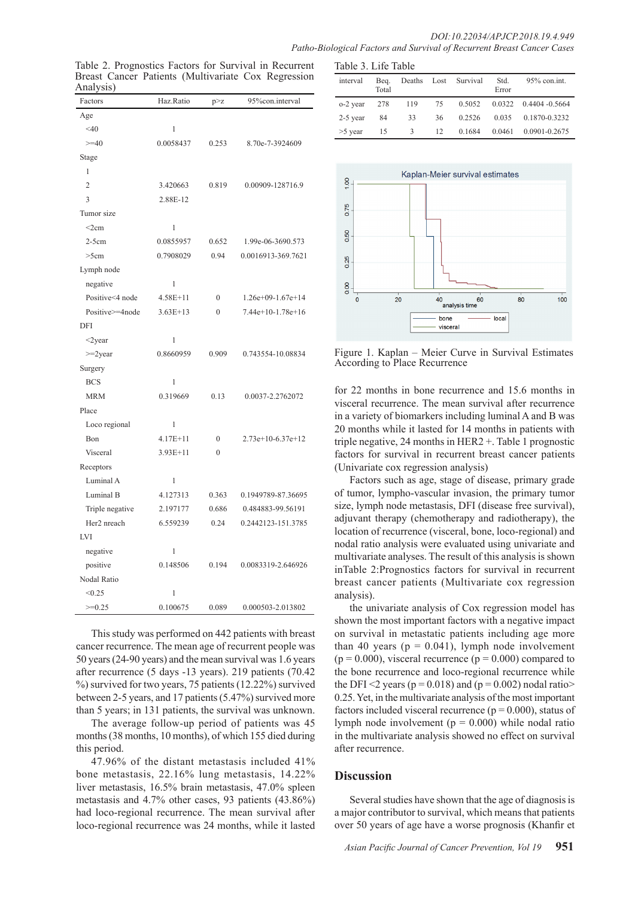|                                                                        | DOI:10.22034/APJCP.2018.19.4.949 |
|------------------------------------------------------------------------|----------------------------------|
| Patho-Biological Factors and Survival of Recurrent Breast Cancer Cases |                                  |

| Factors         | Haz.Ratio    | p > z        | 95%con.interval    |  |
|-----------------|--------------|--------------|--------------------|--|
| Age             |              |              |                    |  |
| $<$ 40          | 1            |              |                    |  |
| $>=10$          | 0.0058437    | 0.253        | 8.70e-7-3924609    |  |
| Stage           |              |              |                    |  |
| 1               |              |              |                    |  |
| $\overline{2}$  | 3.420663     | 0.819        | 0.00909-128716.9   |  |
| $\overline{3}$  | 2.88E-12     |              |                    |  |
| Tumor size      |              |              |                    |  |
| $<$ 2 $cm$      | 1            |              |                    |  |
| $2-5cm$         | 0.0855957    | 0.652        | 1.99e-06-3690.573  |  |
| >5cm            | 0.7908029    | 0.94         | 0.0016913-369.7621 |  |
| Lymph node      |              |              |                    |  |
| negative        | 1            |              |                    |  |
| Positive<4 node | $4.58E + 11$ | $\mathbf{0}$ | 1.26e+09-1.67e+14  |  |
| Positive>=4node | $3.63E+13$   | $\theta$     | 7.44e+10-1.78e+16  |  |
| <b>DFI</b>      |              |              |                    |  |
| $<$ 2year       | 1            |              |                    |  |
| $>=2$ year      | 0.8660959    | 0.909        | 0.743554-10.08834  |  |
| Surgery         |              |              |                    |  |
| <b>BCS</b>      | 1            |              |                    |  |
| <b>MRM</b>      | 0.319669     | 0.13         | 0.0037-2.2762072   |  |
| Place           |              |              |                    |  |
| Loco regional   | 1            |              |                    |  |
| Bon             | $4.17E + 11$ | $\mathbf{0}$ | 2.73e+10-6.37e+12  |  |
| Visceral        | 3.93E+11     | $\theta$     |                    |  |
| Receptors       |              |              |                    |  |
| Luminal A       | 1            |              |                    |  |
| Luminal B       | 4.127313     | 0.363        | 0.1949789-87.36695 |  |
| Triple negative | 2.197177     | 0.686        | 0.484883-99.56191  |  |
| Her2 nreach     | 6.559239     | 0.24         | 0.2442123-151.3785 |  |
| LVI             |              |              |                    |  |
| negative        | 1            |              |                    |  |
| positive        | 0.148506     | 0.194        | 0.0083319-2.646926 |  |
| Nodal Ratio     |              |              |                    |  |
| < 0.25          | 1            |              |                    |  |
| $>=0.25$        | 0.100675     | 0.089        | 0.000503-2.013802  |  |

Table 2. Prognostics Factors for Survival in Recurrent Breast Cancer Patients (Multivariate Cox Regression Titlerval Beq. 2014)

This study was performed on 442 patients with breast cancer recurrence. The mean age of recurrent people was 50 years (24-90 years) and the mean survival was 1.6 years after recurrence (5 days -13 years). 219 patients (70.42 %) survived for two years, 75 patients (12.22%) survived between 2-5 years, and 17 patients (5.47%) survived more than 5 years; in 131 patients, the survival was unknown.

The average follow-up period of patients was 45 months (38 months, 10 months), of which 155 died during this period.

47.96% of the distant metastasis included 41% bone metastasis, 22.16% lung metastasis, 14.22% liver metastasis, 16.5% brain metastasis, 47.0% spleen metastasis and 4.7% other cases, 93 patients (43.86%) had loco-regional recurrence. The mean survival after loco-regional recurrence was 24 months, while it lasted

| Table 3. Life Table |               |        |    |                      |               |                            |
|---------------------|---------------|--------|----|----------------------|---------------|----------------------------|
| interval            | Beq.<br>Total |        |    | Deaths Lost Survival | Std.<br>Error | $95\%$ con.int.            |
| o-2 year            | 278           | 119 75 |    | 0.5052               |               | $0.0322$ $0.4404 - 0.5664$ |
| $2-5$ year          | 84            | 33     | 36 | 0.2526               | 0.035         | 0.1870-0.3232              |
| $>5$ year           | 15            | 3      | 12 | 0.1684               | 0.0461        | 0.0901-0.2675              |



Figure 1. Kaplan – Meier Curve in Survival Estimates According to Place Recurrence

for 22 months in bone recurrence and 15.6 months in visceral recurrence. The mean survival after recurrence in a variety of biomarkers including luminal A and B was 20 months while it lasted for 14 months in patients with triple negative, 24 months in HER2 +. Table 1 prognostic factors for survival in recurrent breast cancer patients (Univariate cox regression analysis)

Factors such as age, stage of disease, primary grade of tumor, lympho-vascular invasion, the primary tumor size, lymph node metastasis, DFI (disease free survival), adjuvant therapy (chemotherapy and radiotherapy), the location of recurrence (visceral, bone, loco-regional) and nodal ratio analysis were evaluated using univariate and multivariate analyses. The result of this analysis is shown inTable 2:Prognostics factors for survival in recurrent breast cancer patients (Multivariate cox regression analysis).

the univariate analysis of Cox regression model has shown the most important factors with a negative impact on survival in metastatic patients including age more than 40 years ( $p = 0.041$ ), lymph node involvement  $(p = 0.000)$ , visceral recurrence  $(p = 0.000)$  compared to the bone recurrence and loco-regional recurrence while the DFI <2 years ( $p = 0.018$ ) and ( $p = 0.002$ ) nodal ratio> 0.25. Yet, in the multivariate analysis of the most important factors included visceral recurrence ( $p = 0.000$ ), status of lymph node involvement ( $p = 0.000$ ) while nodal ratio in the multivariate analysis showed no effect on survival after recurrence.

## **Discussion**

Several studies have shown that the age of diagnosis is a major contributor to survival, which means that patients over 50 years of age have a worse prognosis (Khanfir et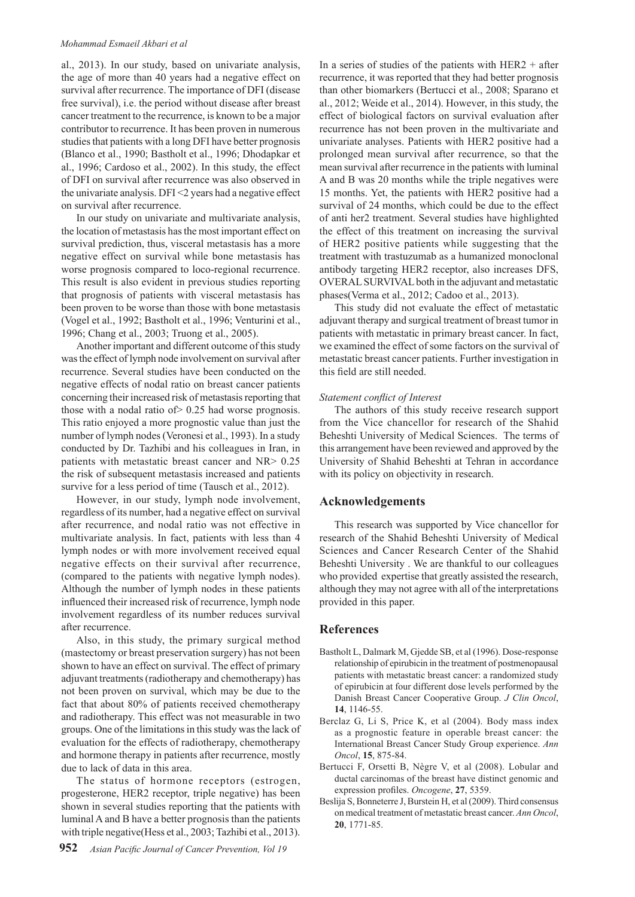#### *Mohammad Esmaeil Akbari et al*

al., 2013). In our study, based on univariate analysis, the age of more than 40 years had a negative effect on survival after recurrence. The importance of DFI (disease free survival), i.e. the period without disease after breast cancer treatment to the recurrence, is known to be a major contributor to recurrence. It has been proven in numerous studies that patients with a long DFI have better prognosis (Blanco et al., 1990; Bastholt et al., 1996; Dhodapkar et al., 1996; Cardoso et al., 2002). In this study, the effect of DFI on survival after recurrence was also observed in the univariate analysis. DFI <2 years had a negative effect on survival after recurrence.

In our study on univariate and multivariate analysis, the location of metastasis has the most important effect on survival prediction, thus, visceral metastasis has a more negative effect on survival while bone metastasis has worse prognosis compared to loco-regional recurrence. This result is also evident in previous studies reporting that prognosis of patients with visceral metastasis has been proven to be worse than those with bone metastasis (Vogel et al., 1992; Bastholt et al., 1996; Venturini et al., 1996; Chang et al., 2003; Truong et al., 2005).

Another important and different outcome of this study was the effect of lymph node involvement on survival after recurrence. Several studies have been conducted on the negative effects of nodal ratio on breast cancer patients concerning their increased risk of metastasis reporting that those with a nodal ratio of> 0.25 had worse prognosis. This ratio enjoyed a more prognostic value than just the number of lymph nodes (Veronesi et al., 1993). In a study conducted by Dr. Tazhibi and his colleagues in Iran, in patients with metastatic breast cancer and NR> 0.25 the risk of subsequent metastasis increased and patients survive for a less period of time (Tausch et al., 2012).

However, in our study, lymph node involvement, regardless of its number, had a negative effect on survival after recurrence, and nodal ratio was not effective in multivariate analysis. In fact, patients with less than 4 lymph nodes or with more involvement received equal negative effects on their survival after recurrence, (compared to the patients with negative lymph nodes). Although the number of lymph nodes in these patients influenced their increased risk of recurrence, lymph node involvement regardless of its number reduces survival after recurrence.

Also, in this study, the primary surgical method (mastectomy or breast preservation surgery) has not been shown to have an effect on survival. The effect of primary adjuvant treatments (radiotherapy and chemotherapy) has not been proven on survival, which may be due to the fact that about 80% of patients received chemotherapy and radiotherapy. This effect was not measurable in two groups. One of the limitations in this study was the lack of evaluation for the effects of radiotherapy, chemotherapy and hormone therapy in patients after recurrence, mostly due to lack of data in this area.

The status of hormone receptors (estrogen, progesterone, HER2 receptor, triple negative) has been shown in several studies reporting that the patients with luminal A and B have a better prognosis than the patients with triple negative(Hess et al., 2003; Tazhibi et al., 2013). In a series of studies of the patients with  $HER2 + after$ recurrence, it was reported that they had better prognosis than other biomarkers (Bertucci et al., 2008; Sparano et al., 2012; Weide et al., 2014). However, in this study, the effect of biological factors on survival evaluation after recurrence has not been proven in the multivariate and univariate analyses. Patients with HER2 positive had a prolonged mean survival after recurrence, so that the mean survival after recurrence in the patients with luminal A and B was 20 months while the triple negatives were 15 months. Yet, the patients with HER2 positive had a survival of 24 months, which could be due to the effect of anti her2 treatment. Several studies have highlighted the effect of this treatment on increasing the survival of HER2 positive patients while suggesting that the treatment with trastuzumab as a humanized monoclonal antibody targeting HER2 receptor, also increases DFS, OVERAL SURVIVAL both in the adjuvant and metastatic phases(Verma et al., 2012; Cadoo et al., 2013).

This study did not evaluate the effect of metastatic adjuvant therapy and surgical treatment of breast tumor in patients with metastatic in primary breast cancer. In fact, we examined the effect of some factors on the survival of metastatic breast cancer patients. Further investigation in this field are still needed.

#### *Statement conflict of Interest*

The authors of this study receive research support from the Vice chancellor for research of the Shahid Beheshti University of Medical Sciences. The terms of this arrangement have been reviewed and approved by the University of Shahid Beheshti at Tehran in accordance with its policy on objectivity in research.

#### **Acknowledgements**

This research was supported by Vice chancellor for research of the Shahid Beheshti University of Medical Sciences and Cancer Research Center of the Shahid Beheshti University . We are thankful to our colleagues who provided expertise that greatly assisted the research, although they may not agree with all of the interpretations provided in this paper.

### **References**

- Bastholt L, Dalmark M, Gjedde SB, et al (1996). Dose-response relationship of epirubicin in the treatment of postmenopausal patients with metastatic breast cancer: a randomized study of epirubicin at four different dose levels performed by the Danish Breast Cancer Cooperative Group. *J Clin Oncol*, **14**, 1146-55.
- Berclaz G, Li S, Price K, et al (2004). Body mass index as a prognostic feature in operable breast cancer: the International Breast Cancer Study Group experience. *Ann Oncol*, **15**, 875-84.
- Bertucci F, Orsetti B, Nègre V, et al (2008). Lobular and ductal carcinomas of the breast have distinct genomic and expression profiles. *Oncogene*, **27**, 5359.
- Beslija S, Bonneterre J, Burstein H, et al (2009). Third consensus on medical treatment of metastatic breast cancer. *Ann Oncol*, **20**, 1771-85.